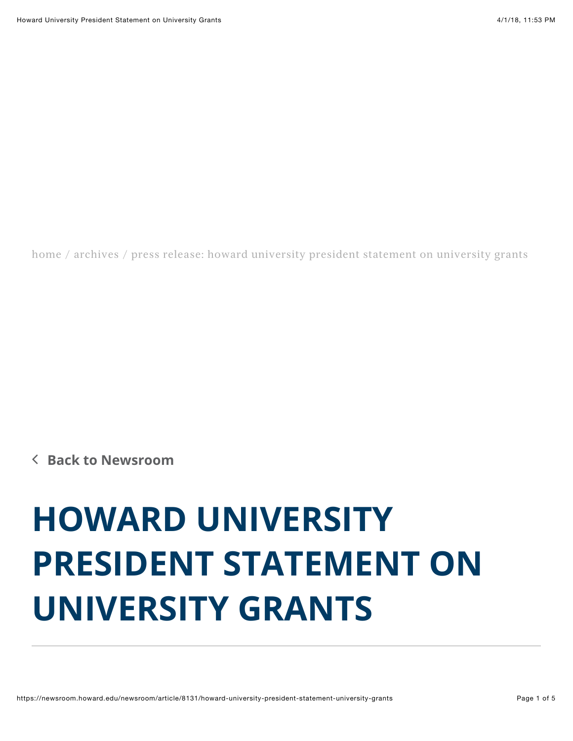[home](https://newsroom.howard.edu/) / [archives](https://newsroom.howard.edu/newsroom) / press release: howard university president statement on university grants

∠ **[Back to Newsroom](https://newsroom.howard.edu/newsroom/)**

## **HOWARD UNIVERSITY PRESIDENT STATEMENT ON UNIVERSITY GRANTS**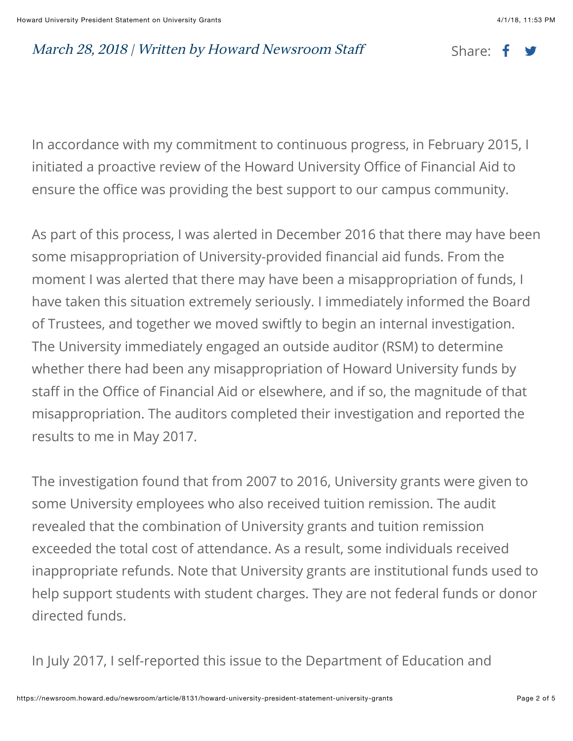## March 28, 2018 | Written by Howard Newsroom Staff Share:  $\mathbf{f}$

In accordance with my commitment to continuous progress, in February 2015, I initiated a proactive review of the Howard University Office of Financial Aid to ensure the office was providing the best support to our campus community.

As part of this process, I was alerted in December 2016 that there may have been some misappropriation of University-provided financial aid funds. From the moment I was alerted that there may have been a misappropriation of funds, I have taken this situation extremely seriously. I immediately informed the Board of Trustees, and together we moved swiftly to begin an internal investigation. The University immediately engaged an outside auditor (RSM) to determine whether there had been any misappropriation of Howard University funds by staff in the Office of Financial Aid or elsewhere, and if so, the magnitude of that misappropriation. The auditors completed their investigation and reported the results to me in May 2017.

The investigation found that from 2007 to 2016, University grants were given to some University employees who also received tuition remission. The audit revealed that the combination of University grants and tuition remission exceeded the total cost of attendance. As a result, some individuals received inappropriate refunds. Note that University grants are institutional funds used to help support students with student charges. They are not federal funds or donor directed funds.

In July 2017, I self-reported this issue to the Department of Education and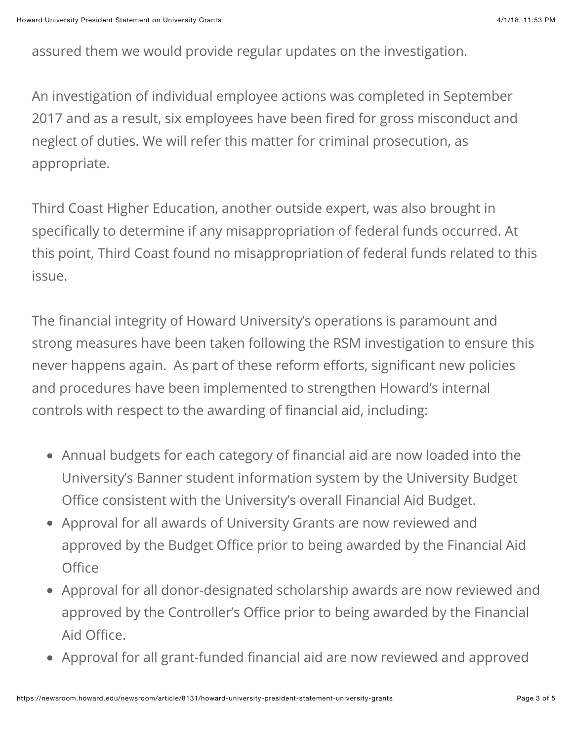assured them we would provide regular updates on the investigation.

An investigation of individual employee actions was completed in September 2017 and as a result, six employees have been fired for gross misconduct and neglect of duties. We will refer this matter for criminal prosecution, as appropriate.

Third Coast Higher Education, another outside expert, was also brought in specifically to determine if any misappropriation of federal funds occurred. At this point, Third Coast found no misappropriation of federal funds related to this issue.

The financial integrity of Howard University's operations is paramount and strong measures have been taken following the RSM investigation to ensure this never happens again. As part of these reform efforts, significant new policies and procedures have been implemented to strengthen Howard's internal controls with respect to the awarding of financial aid, including:

- Annual budgets for each category of financial aid are now loaded into the University's Banner student information system by the University Budget Office consistent with the University's overall Financial Aid Budget.
- Approval for all awards of University Grants are now reviewed and approved by the Budget Office prior to being awarded by the Financial Aid **Office**
- Approval for all donor-designated scholarship awards are now reviewed and approved by the Controller's Office prior to being awarded by the Financial Aid Office.
- Approval for all grant-funded financial aid are now reviewed and approved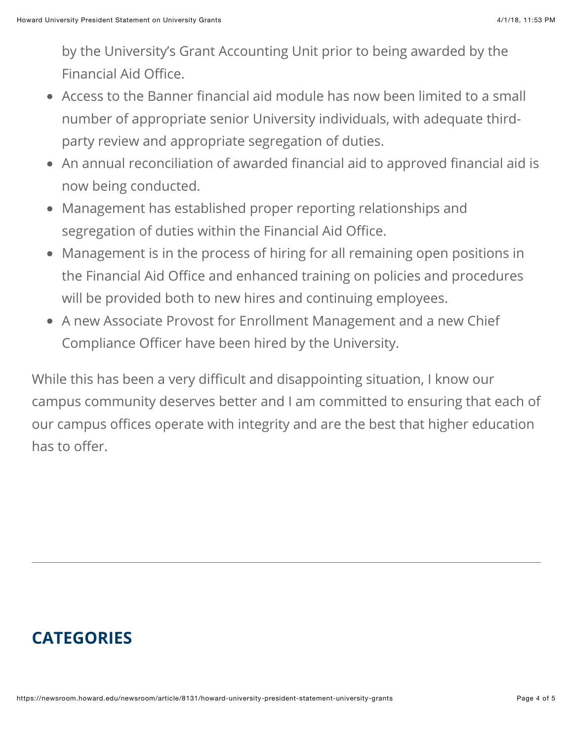by the University's Grant Accounting Unit prior to being awarded by the Financial Aid Office.

- Access to the Banner financial aid module has now been limited to a small number of appropriate senior University individuals, with adequate thirdparty review and appropriate segregation of duties.
- An annual reconciliation of awarded financial aid to approved financial aid is now being conducted.
- Management has established proper reporting relationships and segregation of duties within the Financial Aid Office.
- Management is in the process of hiring for all remaining open positions in the Financial Aid Office and enhanced training on policies and procedures will be provided both to new hires and continuing employees.
- A new Associate Provost for Enrollment Management and a new Chief Compliance Officer have been hired by the University.

While this has been a very difficult and disappointing situation, I know our campus community deserves better and I am committed to ensuring that each of our campus offices operate with integrity and are the best that higher education has to offer.

## **CATEGORIES**